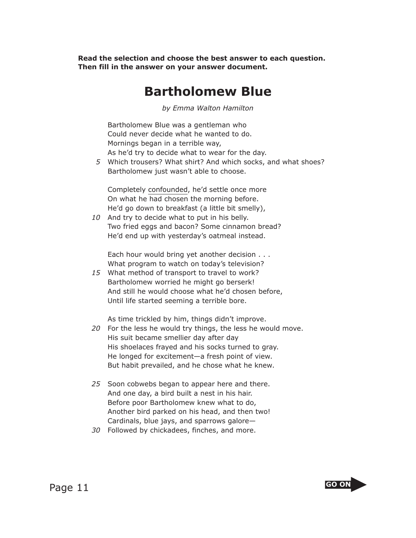**Read the selection and choose the best answer to each question. Then fill in the answer on your answer document.**

## **Bartholomew Blue**

*by Emma Walton Hamilton*

 Bartholomew Blue was a gentleman who Could never decide what he wanted to do. Mornings began in a terrible way, As he'd try to decide what to wear for the day.

 *5* Which trousers? What shirt? And which socks, and what shoes? Bartholomew just wasn't able to choose.

 Completely confounded, he'd settle once more On what he had chosen the morning before. He'd go down to breakfast (a little bit smelly),

*10* And try to decide what to put in his belly. Two fried eggs and bacon? Some cinnamon bread? He'd end up with yesterday's oatmeal instead.

 Each hour would bring yet another decision . . . What program to watch on today's television?

*15* What method of transport to travel to work? Bartholomew worried he might go berserk! And still he would choose what he'd chosen before, Until life started seeming a terrible bore.

As time trickled by him, things didn't improve.

- *20* For the less he would try things, the less he would move. His suit became smellier day after day His shoelaces frayed and his socks turned to gray. He longed for excitement—a fresh point of view. But habit prevailed, and he chose what he knew.
- *25* Soon cobwebs began to appear here and there. And one day, a bird built a nest in his hair. Before poor Bartholomew knew what to do, Another bird parked on his head, and then two! Cardinals, blue jays, and sparrows galore—
- *30* Followed by chickadees, finches, and more.

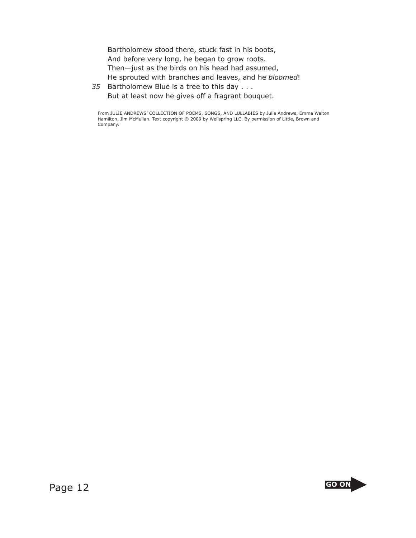Bartholomew stood there, stuck fast in his boots, And before very long, he began to grow roots. Then—just as the birds on his head had assumed, He sprouted with branches and leaves, and he *bloomed*!

*35* Bartholomew Blue is a tree to this day . . . But at least now he gives off a fragrant bouquet.

From JULIE ANDREWS' COLLECTION OF POEMS, SONGS, AND LULLABIES by Julie Andrews, Emma Walton Hamilton, Jim McMullan. Text copyright © 2009 by Wellspring LLC. By permission of Little, Brown and Company.

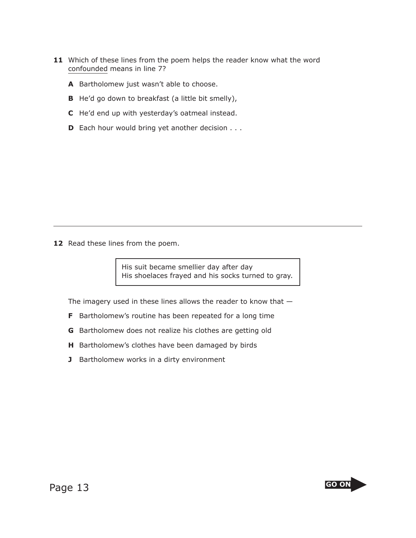- **11** Which of these lines from the poem helps the reader know what the word confounded means in line 7?
	- **A** Bartholomew just wasn't able to choose.
	- **B** He'd go down to breakfast (a little bit smelly),
	- **C** He'd end up with yesterday's oatmeal instead.
	- **D** Each hour would bring yet another decision . . .

12 Read these lines from the poem.

His suit became smellier day after day His shoelaces frayed and his socks turned to gray.

The imagery used in these lines allows the reader to know that —

- **F** Bartholomew's routine has been repeated for a long time
- **G** Bartholomew does not realize his clothes are getting old
- **H** Bartholomew's clothes have been damaged by birds
- **J** Bartholomew works in a dirty environment

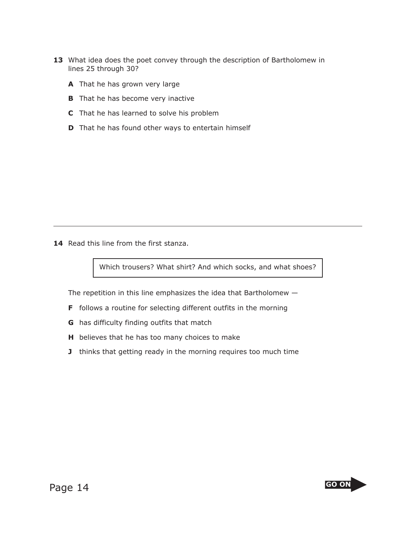- **13** What idea does the poet convey through the description of Bartholomew in lines 25 through 30?
	- **A** That he has grown very large
	- **B** That he has become very inactive
	- **C** That he has learned to solve his problem
	- **D** That he has found other ways to entertain himself

14 Read this line from the first stanza.

Which trousers? What shirt? And which socks, and what shoes?

The repetition in this line emphasizes the idea that Bartholomew —

- **F** follows a routine for selecting different outfits in the morning
- **G** has difficulty finding outfits that match
- **H** believes that he has too many choices to make
- **J** thinks that getting ready in the morning requires too much time